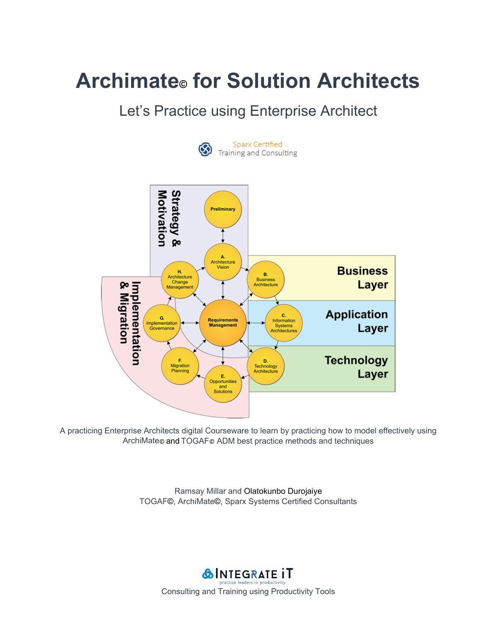# Let's Practice using Enterprise Architect



**Sparx Certified Training and Consulting** 



A practicing Enterprise Architects digital Courseware to learn by practicing how to model effectively using ArchiMate© and TOGAF© ADM best practice methods and techniques

> Ramsay Millar and Olatokunbo Durojaiye TOGAF©, ArchiMate©, Sparx Systems Certified Consultants

**&INTEGRATE IT** Consulting and Training using Productivity Tools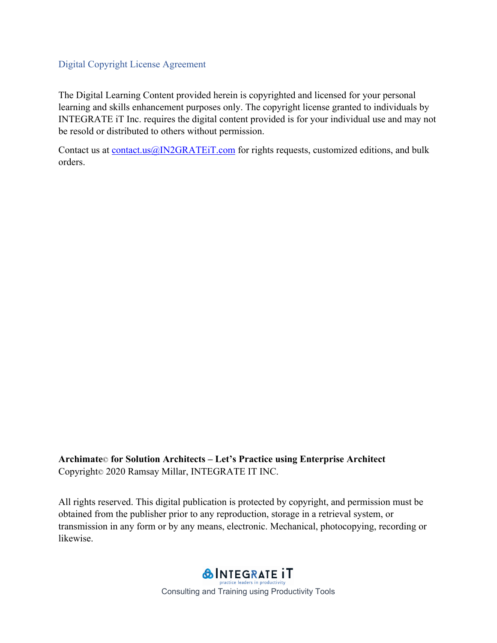### Digital Copyright License Agreement

The Digital Learning Content provided herein is copyrighted and licensed for your personal learning and skills enhancement purposes only. The copyright license granted to individuals by INTEGRATE iT Inc. requires the digital content provided is for your individual use and may not be resold or distributed to others without permission.

Contact us at contact.us@IN2GRATEiT.com for rights requests, customized editions, and bulk orders.

**Archimate**© **for Solution Architects – Let's Practice using Enterprise Architect**  Copyright© 2020 Ramsay Millar, INTEGRATE IT INC.

All rights reserved. This digital publication is protected by copyright, and permission must be obtained from the publisher prior to any reproduction, storage in a retrieval system, or transmission in any form or by any means, electronic. Mechanical, photocopying, recording or likewise.

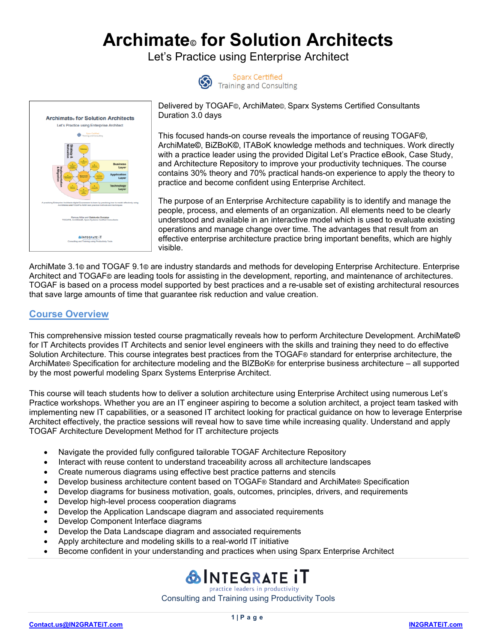Let's Practice using Enterprise Architect





Sparx Certified<br>Training and Consulting

Delivered by TOGAF©, ArchiMate©, Sparx Systems Certified Consultants Duration 3.0 days

This focused hands-on course reveals the importance of reusing TOGAF**©**, ArchiMate**©**, BiZBoK**©**, ITABoK knowledge methods and techniques. Work directly with a practice leader using the provided Digital Let's Practice eBook, Case Study, and Architecture Repository to improve your productivity techniques. The course contains 30% theory and 70% practical hands-on experience to apply the theory to practice and become confident using Enterprise Architect.

The purpose of an Enterprise Architecture capability is to identify and manage the people, process, and elements of an organization. All elements need to be clearly understood and available in an interactive model which is used to evaluate existing operations and manage change over time. The advantages that result from an effective enterprise architecture practice bring important benefits, which are highly visible.

ArchiMate 3.1**©** and TOGAF 9.1**©** are industry standards and methods for developing Enterprise Architecture. Enterprise Architect and TOGAF**©** are leading tools for assisting in the development, reporting, and maintenance of architectures. TOGAF is based on a process model supported by best practices and a re-usable set of existing architectural resources that save large amounts of time that guarantee risk reduction and value creation.

### **Course Overview**

This comprehensive mission tested course pragmatically reveals how to perform Architecture Development. ArchiMate**©** for IT Architects provides IT Architects and senior level engineers with the skills and training they need to do effective Solution Architecture. This course integrates best practices from the TOGAF® standard for enterprise architecture, the ArchiMate® Specification for architecture modeling and the BIZBoK® for enterprise business architecture – all supported by the most powerful modeling Sparx Systems Enterprise Architect.

This course will teach students how to deliver a solution architecture using Enterprise Architect using numerous Let's Practice workshops. Whether you are an IT engineer aspiring to become a solution architect, a project team tasked with implementing new IT capabilities, or a seasoned IT architect looking for practical guidance on how to leverage Enterprise Architect effectively, the practice sessions will reveal how to save time while increasing quality. Understand and apply TOGAF Architecture Development Method for IT architecture projects

- Navigate the provided fully configured tailorable TOGAF Architecture Repository
- Interact with reuse content to understand traceability across all architecture landscapes
- Create numerous diagrams using effective best practice patterns and stencils
- Develop business architecture content based on TOGAF® Standard and ArchiMate® Specification
- Develop diagrams for business motivation, goals, outcomes, principles, drivers, and requirements
- Develop high-level process cooperation diagrams
- Develop the Application Landscape diagram and associated requirements
- Develop Component Interface diagrams
- Develop the Data Landscape diagram and associated requirements
- Apply architecture and modeling skills to a real-world IT initiative
- Become confident in your understanding and practices when using Sparx Enterprise Architect

## **&INTEGRATE IT** practice leaders in productivity

Consulting and Training using Productivity Tools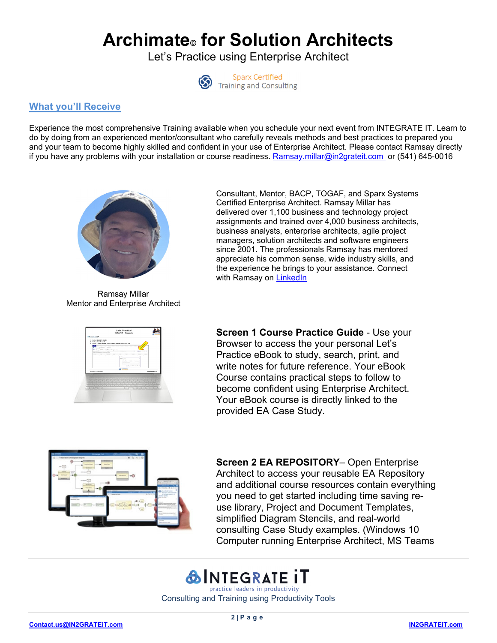Let's Practice using Enterprise Architect



**Sparx Certified** Training and Consulting

### **What you'll Receive**

Experience the most comprehensive Training available when you schedule your next event from INTEGRATE IT. Learn to do by doing from an experienced mentor/consultant who carefully reveals methods and best practices to prepared you and your team to become highly skilled and confident in your use of Enterprise Architect. Please contact Ramsay directly if you have any problems with your installation or course readiness. Ramsay.millar@in2grateit.com or (541) 645-0016



Ramsay Millar Mentor and Enterprise Architect



Consultant, Mentor, BACP, TOGAF, and Sparx Systems Certified Enterprise Architect. Ramsay Millar has delivered over 1,100 business and technology project assignments and trained over 4,000 business architects, business analysts, enterprise architects, agile project managers, solution architects and software engineers since 2001. The professionals Ramsay has mentored appreciate his common sense, wide industry skills, and the experience he brings to your assistance. Connect with Ramsay on LinkedIn

**Screen 1 Course Practice Guide** - Use your Browser to access the your personal Let's Practice eBook to study, search, print, and write notes for future reference. Your eBook Course contains practical steps to follow to become confident using Enterprise Architect. Your eBook course is directly linked to the provided EA Case Study.



**Screen 2 EA REPOSITORY**– Open Enterprise Architect to access your reusable EA Repository and additional course resources contain everything you need to get started including time saving reuse library, Project and Document Templates, simplified Diagram Stencils, and real-world consulting Case Study examples. (Windows 10 Computer running Enterprise Architect, MS Teams

# **&INTEGRATE IT** practice leaders in productivity

Consulting and Training using Productivity Tools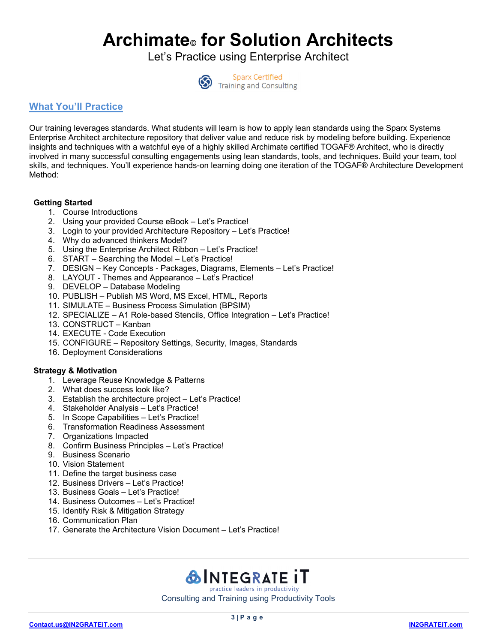Let's Practice using Enterprise Architect



**Sparx Certified Training and Consulting** 

### **What You'll Practice**

Our training leverages standards. What students will learn is how to apply lean standards using the Sparx Systems Enterprise Architect architecture repository that deliver value and reduce risk by modeling before building. Experience insights and techniques with a watchful eye of a highly skilled Archimate certified TOGAF® Architect, who is directly involved in many successful consulting engagements using lean standards, tools, and techniques. Build your team, tool skills, and techniques. You'll experience hands-on learning doing one iteration of the TOGAF® Architecture Development Method:

#### **Getting Started**

- 1. Course Introductions
- 2. Using your provided Course eBook Let's Practice!
- 3. Login to your provided Architecture Repository Let's Practice!
- 4. Why do advanced thinkers Model?
- 5. Using the Enterprise Architect Ribbon Let's Practice!
- 6. START Searching the Model Let's Practice!
- 7. DESIGN Key Concepts Packages, Diagrams, Elements Let's Practice!
- 8. LAYOUT Themes and Appearance Let's Practice!
- 9. DEVELOP Database Modeling
- 10. PUBLISH Publish MS Word, MS Excel, HTML, Reports
- 11. SIMULATE Business Process Simulation (BPSIM)
- 12. SPECIALIZE A1 Role-based Stencils, Office Integration Let's Practice!
- 13. CONSTRUCT Kanban
- 14. EXECUTE Code Execution
- 15. CONFIGURE Repository Settings, Security, Images, Standards
- 16. Deployment Considerations

#### **Strategy & Motivation**

- 1. Leverage Reuse Knowledge & Patterns
- 2. What does success look like?
- 3. Establish the architecture project Let's Practice!
- 4. Stakeholder Analysis Let's Practice!
- 5. In Scope Capabilities Let's Practice!
- 6. Transformation Readiness Assessment
- 7. Organizations Impacted
- 8. Confirm Business Principles Let's Practice!
- 9. Business Scenario
- 10. Vision Statement
- 11. Define the target business case
- 12. Business Drivers Let's Practice!
- 13. Business Goals Let's Practice!
- 14. Business Outcomes Let's Practice!
- 15. Identify Risk & Mitigation Strategy
- 16. Communication Plan
- 17. Generate the Architecture Vision Document Let's Practice!

### **&INTEGRATE IT** practice leaders in productivity

Consulting and Training using Productivity Tools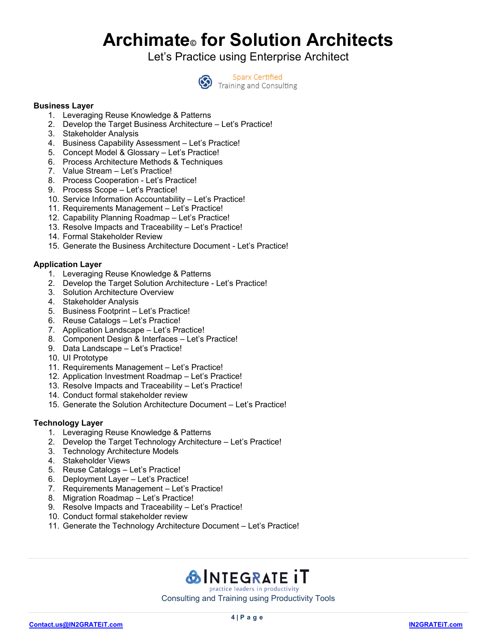Let's Practice using Enterprise Architect



**Sparx Certified** Training and Consulting

#### **Business Layer**

- 1. Leveraging Reuse Knowledge & Patterns
- 2. Develop the Target Business Architecture Let's Practice!
- 3. Stakeholder Analysis
- 4. Business Capability Assessment Let's Practice!
- 5. Concept Model & Glossary Let's Practice!
- 6. Process Architecture Methods & Techniques
- 7. Value Stream Let's Practice!
- 8. Process Cooperation Let's Practice!
- 9. Process Scope Let's Practice!
- 10. Service Information Accountability Let's Practice!
- 11. Requirements Management Let's Practice!
- 12. Capability Planning Roadmap Let's Practice!
- 13. Resolve Impacts and Traceability Let's Practice!
- 14. Formal Stakeholder Review
- 15. Generate the Business Architecture Document Let's Practice!

#### **Application Layer**

- 1. Leveraging Reuse Knowledge & Patterns
- 2. Develop the Target Solution Architecture Let's Practice!
- 3. Solution Architecture Overview
- 4. Stakeholder Analysis
- 5. Business Footprint Let's Practice!
- 6. Reuse Catalogs Let's Practice!
- 7. Application Landscape Let's Practice!
- 8. Component Design & Interfaces Let's Practice!
- 9. Data Landscape Let's Practice!
- 10. UI Prototype
- 11. Requirements Management Let's Practice!
- 12. Application Investment Roadmap Let's Practice!
- 13. Resolve Impacts and Traceability Let's Practice!
- 14. Conduct formal stakeholder review
- 15. Generate the Solution Architecture Document Let's Practice!

#### **Technology Layer**

- 1. Leveraging Reuse Knowledge & Patterns
- 2. Develop the Target Technology Architecture Let's Practice!
- 3. Technology Architecture Models
- 4. Stakeholder Views
- 5. Reuse Catalogs Let's Practice!
- 6. Deployment Layer Let's Practice!
- 7. Requirements Management Let's Practice!
- 8. Migration Roadmap Let's Practice!
- 9. Resolve Impacts and Traceability Let's Practice!
- 10. Conduct formal stakeholder review
- 11. Generate the Technology Architecture Document Let's Practice!

**&INTEGRATE IT** practice leaders in productivity Consulting and Training using Productivity Tools